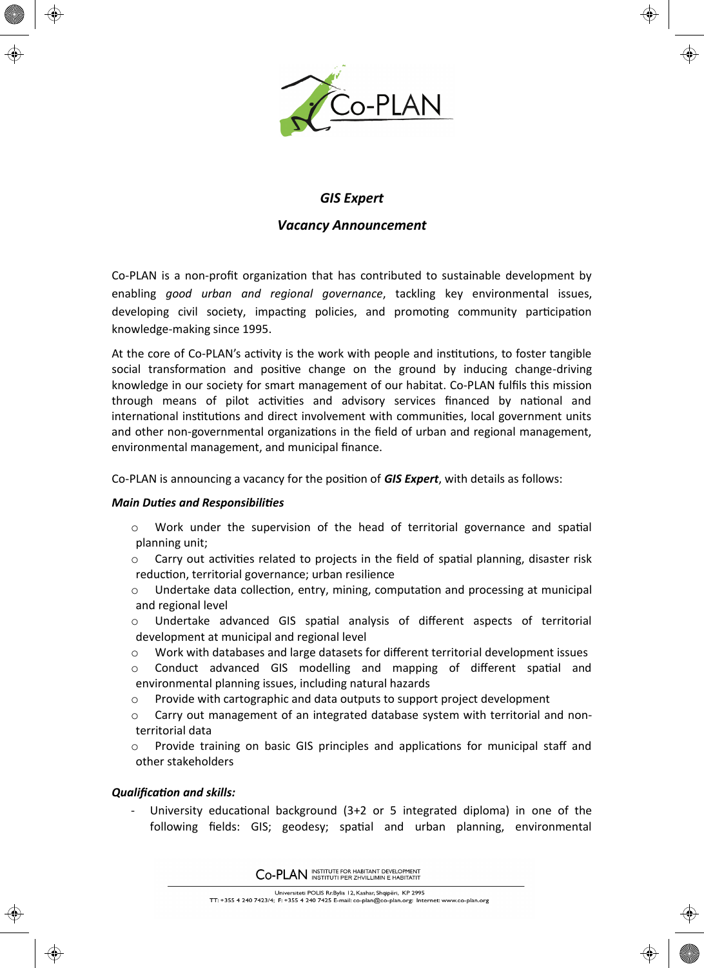

⊕

# *GIS Expert*

## *Vacancy Announcement*

Co-PLAN is a non-profit organization that has contributed to sustainable development by enabling *good urban and regional governance*, tackling key environmental issues, developing civil society, impacting policies, and promoting community participation knowledge-making since 1995.

At the core of Co-PLAN's activity is the work with people and institutions, to foster tangible social transformation and positive change on the ground by inducing change-driving knowledge in our society for smart management of our habitat. Co-PLAN fulfils this mission through means of pilot activities and advisory services financed by national and international institutions and direct involvement with communities, local government units and other non-governmental organizations in the field of urban and regional management, environmental management, and municipal finance.

Co-PLAN is announcing a vacancy for the position of *GIS Expert*, with details as follows:

## *Main Duties and Responsibilities*

- $\circ$  Work under the supervision of the head of territorial governance and spatial planning unit;
- $\circ$  Carry out activities related to projects in the field of spatial planning, disaster risk reduction, territorial governance; urban resilience
- $\circ$  Undertake data collection, entry, mining, computation and processing at municipal and regional level
- $\circ$  Undertake advanced GIS spatial analysis of different aspects of territorial development at municipal and regional level
- o Work with databases and large datasets for different territorial development issues
- o Conduct advanced GIS modelling and mapping of different spatial and environmental planning issues, including natural hazards
- o Provide with cartographic and data outputs to support project development
- $\circ$  Carry out management of an integrated database system with territorial and nonterritorial data
- $\circ$  Provide training on basic GIS principles and applications for municipal staff and other stakeholders

## *Qualification and skills:*

University educational background  $(3+2 \text{ or } 5 \text{ integrated }$  diploma) in one of the following fields: GIS; geodesy; spatial and urban planning, environmental

CO-PLAN INSTITUTE FOR HABITANT DEVELOPMENT

Universiteti POLIS Rr.Bylis 12, Kashar, Shqipëri, KP 2995 Oliversited 1 OEIS Nilbyils 12, Kashat, Shqiperi, 18, 2223<br>TT: +355 4 240 7423/4; F: +355 4 240 7425 E-mail: co-plan@co-plan.org: Internet: www.co-plan.org